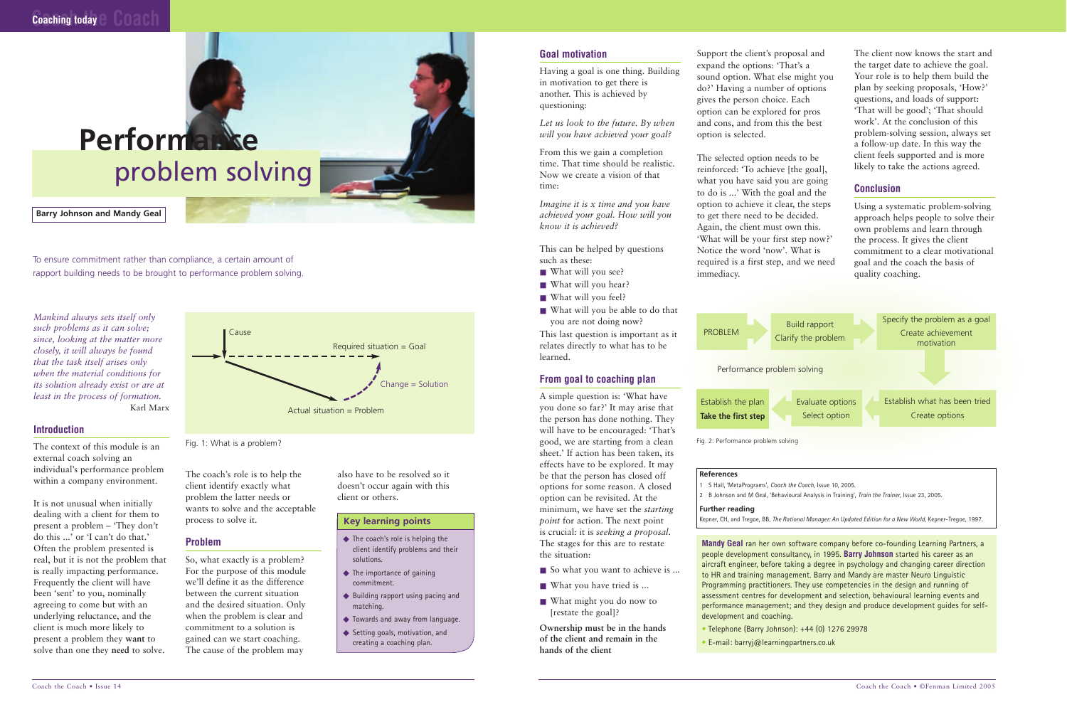*Mankind always sets itself only such problems as it can solve; since, looking at the matter more closely, it will always be found that the task itself arises only when the material conditions for its solution already exist or are at least in the process of formation.*  Karl Marx

### **Introduction**

The context of this module is an external coach solving an individual's performance problem within a company environment.

It is not unusual when initially dealing with a client for them to present a problem – 'They don't do this ...' or 'I can't do that.' Often the problem presented is real, but it is not the problem that is really impacting performance. Frequently the client will have been 'sent' to you, nominally agreeing to come but with an underlying reluctance, and the client is much more likely to present a problem they **want** to solve than one they **need** to solve.

The coach's role is to help the client identify exactly what problem the latter needs or wants to solve and the acceptable process to solve it.

- What will you see?
- What will you hear?
- What will you feel?
- What will you be able to do that you are not doing now?

### **Problem**

So, what exactly is a problem? For the purpose of this module we'll define it as the difference between the current situation and the desired situation. Only when the problem is clear and commitment to a solution is gained can we start coaching. The cause of the problem may

- So what you want to achieve is ...
- What you have tried is ...
- What might you do now to [restate the goal]?

also have to be resolved so it doesn't occur again with this client or others.

 $Change = Solution$ 

### **Goal motivation**

Having a goal is one thing. Building in motivation to get there is another. This is achieved by questioning:

*Let us look to the future. By when will you have achieved your goal?*

From this we gain a completion time. That time should be realistic. Now we create a vision of that time:

*Imagine it is x time and you have achieved your goal. How will you know it is achieved?*

This can be helped by questions such as these:

This last question is important as it relates directly to what has to be learned.

### **From goal to coaching plan**

A simple question is: 'What have you done so far?' It may arise that the person has done nothing. They will have to be encouraged: 'That's good, we are starting from a clean sheet.' If action has been taken, its effects have to be explored. It may be that the person has closed off options for some reason. A closed option can be revisited. At the minimum, we have set the *starting point* for action. The next point is crucial: it is *seeking a proposal*. The stages for this are to restate the situation:

- Telephone (Barry Johnson): +44 (0) 1276 29978
- E-mail: barryj@learningpartners.co.uk

**Ownership must be in the hands of the client and remain in the hands of the client**

- ◆ The coach's role is helping the client identify problems and their solutions.
- ◆ The importance of gaining commitment.
- ◆ Building rapport using pacing and matching.
- ◆ Towards and away from language.
- ◆ Setting goals, motivation, and creating a coaching plan.

Support the client's proposal and expand the options: 'That's a sound option. What else might you do?' Having a number of options gives the person choice. Each option can be explored for pros and cons, and from this the best option is selected.

The selected option needs to be reinforced: 'To achieve [the goal], what you have said you are going to do is ...' With the goal and the option to achieve it clear, the steps to get there need to be decided. Again, the client must own this. 'What will be your first step now?' Notice the word 'now'. What is required is a first step, and we need immediacy.

The client now knows the start and the target date to achieve the goal. Your role is to help them build the plan by seeking proposals, 'How?' questions, and loads of support: 'That will be good'; 'That should work'. At the conclusion of this problem-solving session, always set a follow-up date. In this way the client feels supported and is more likely to take the actions agreed.

### **Conclusion**

Using a systematic problem-solving approach helps people to solve their own problems and learn through the process. It gives the client commitment to a clear motivational goal and the coach the basis of quality coaching.



To ensure commitment rather than compliance, a certain amount of rapport building needs to be brought to performance problem solving.

### **Barry Johnson and Mandy Geal**

**Mandy Geal** ran her own software company before co-founding Learning Partners, a people development consultancy, in 1995. **Barry Johnson** started his career as an aircraft engineer, before taking a degree in psychology and changing career direction to HR and training management. Barry and Mandy are master Neuro Linguistic Programming practitioners. They use competencies in the design and running of assessment centres for development and selection, behavioural learning events and performance management; and they design and produce development guides for selfdevelopment and coaching.

### **References**

- 1 S Hall, 'MetaPrograms', *Coach the Coach*, Issue 10, 2005.
- 2 B Johnson and M Geal, 'Behavioural Analysis in Training', *Train the Trainer*, Issue 23, 2005.

### **Further reading**

Key learning points **Maturity Constructed Avenue** Action. The next point Kepner, CH, and Tregoe, BB, *The Rational Manager: An Updated Edition for a New World*, Kepner-Tregoe, 1997.

Fig. 1: What is a problem?

Cause

Required situation = Goal

Actual situation = Problem